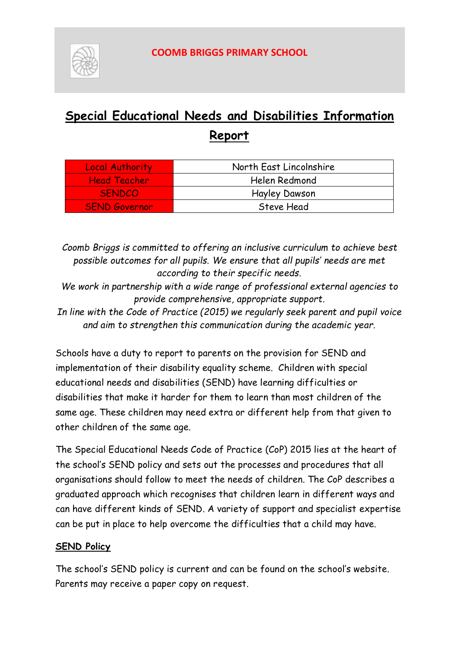

# **Special Educational Needs and Disabilities Information Report**

| <b>Local Authority</b> | North East Lincolnshire |
|------------------------|-------------------------|
| <b>Head Teacher</b>    | Helen Redmond           |
| <b>SENDCO</b>          | <b>Hayley Dawson</b>    |
| <b>SEND Governor</b>   | Steve Head              |

*Coomb Briggs is committed to offering an inclusive curriculum to achieve best possible outcomes for all pupils. We ensure that all pupils' needs are met according to their specific needs.*

*We work in partnership with a wide range of professional external agencies to provide comprehensive, appropriate support.*

*In line with the Code of Practice (2015) we regularly seek parent and pupil voice and aim to strengthen this communication during the academic year.*

Schools have a duty to report to parents on the provision for SEND and implementation of their disability equality scheme. Children with special educational needs and disabilities (SEND) have learning difficulties or disabilities that make it harder for them to learn than most children of the same age. These children may need extra or different help from that given to other children of the same age.

The Special Educational Needs Code of Practice (CoP) 2015 lies at the heart of the school's SEND policy and sets out the processes and procedures that all organisations should follow to meet the needs of children. The CoP describes a graduated approach which recognises that children learn in different ways and can have different kinds of SEND. A variety of support and specialist expertise can be put in place to help overcome the difficulties that a child may have.

### **SEND Policy**

The school's SEND policy is current and can be found on the school's website. Parents may receive a paper copy on request.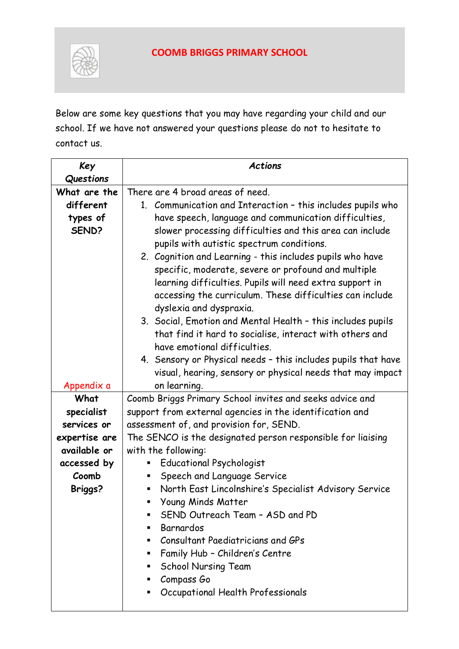

Below are some key questions that you may have regarding your child and our school. If we have not answered your questions please do not to hesitate to contact us.

| Key            | <b>Actions</b>                                                         |  |  |
|----------------|------------------------------------------------------------------------|--|--|
| Questions      |                                                                        |  |  |
| What are the   | There are 4 broad areas of need.                                       |  |  |
| different      | 1. Communication and Interaction - this includes pupils who            |  |  |
| types of       | have speech, language and communication difficulties,                  |  |  |
| SEND?          | slower processing difficulties and this area can include               |  |  |
|                | pupils with autistic spectrum conditions.                              |  |  |
|                | 2. Cognition and Learning - this includes pupils who have              |  |  |
|                | specific, moderate, severe or profound and multiple                    |  |  |
|                | learning difficulties. Pupils will need extra support in               |  |  |
|                | accessing the curriculum. These difficulties can include               |  |  |
|                | dyslexia and dyspraxia.                                                |  |  |
|                | 3. Social, Emotion and Mental Health - this includes pupils            |  |  |
|                | that find it hard to socialise, interact with others and               |  |  |
|                | have emotional difficulties.                                           |  |  |
|                | 4. Sensory or Physical needs - this includes pupils that have          |  |  |
|                | visual, hearing, sensory or physical needs that may impact             |  |  |
| Appendix a     | on learning.                                                           |  |  |
| What           | Coomb Briggs Primary School invites and seeks advice and               |  |  |
| specialist     | support from external agencies in the identification and               |  |  |
| services or    | assessment of, and provision for, SEND.                                |  |  |
| expertise are  | The SENCO is the designated person responsible for liaising            |  |  |
| available or   | with the following:                                                    |  |  |
| accessed by    | <b>Educational Psychologist</b>                                        |  |  |
| Coomb          | Speech and Language Service<br>п                                       |  |  |
| <b>Briggs?</b> | North East Lincolnshire's Specialist Advisory Service                  |  |  |
|                | Young Minds Matter                                                     |  |  |
|                | SEND Outreach Team - ASD and PD<br>п                                   |  |  |
|                | Barnardos<br>Consultant Paediatricians and GPs<br>٠                    |  |  |
|                |                                                                        |  |  |
|                | Family Hub - Children's Centre<br>٠<br><b>School Nursing Team</b><br>п |  |  |
|                | Compass Go<br>٠                                                        |  |  |
|                | Occupational Health Professionals<br>٠                                 |  |  |
|                |                                                                        |  |  |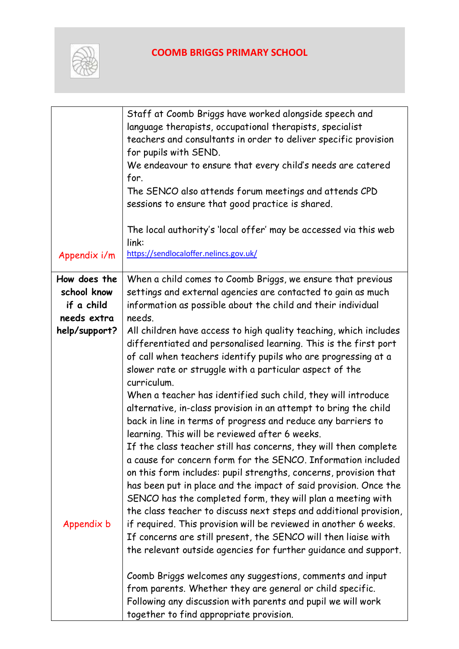

|               | Staff at Coomb Briggs have worked alongside speech and                                                                               |  |
|---------------|--------------------------------------------------------------------------------------------------------------------------------------|--|
|               | language therapists, occupational therapists, specialist<br>teachers and consultants in order to deliver specific provision          |  |
|               | for pupils with SEND.                                                                                                                |  |
|               | We endeavour to ensure that every child's needs are catered                                                                          |  |
|               | for.                                                                                                                                 |  |
|               | The SENCO also attends forum meetings and attends CPD                                                                                |  |
|               | sessions to ensure that good practice is shared.                                                                                     |  |
|               | The local authority's 'local offer' may be accessed via this web                                                                     |  |
|               | link:                                                                                                                                |  |
| Appendix i/m  | https://sendlocaloffer.nelincs.gov.uk/                                                                                               |  |
| How does the  | When a child comes to Coomb Briggs, we ensure that previous                                                                          |  |
| school know   | settings and external agencies are contacted to gain as much                                                                         |  |
| if a child    | information as possible about the child and their individual                                                                         |  |
| needs extra   | needs.                                                                                                                               |  |
| help/support? | All children have access to high quality teaching, which includes                                                                    |  |
|               | differentiated and personalised learning. This is the first port                                                                     |  |
|               | of call when teachers identify pupils who are progressing at a<br>slower rate or struggle with a particular aspect of the            |  |
|               | curriculum.                                                                                                                          |  |
|               | When a teacher has identified such child, they will introduce                                                                        |  |
|               | alternative, in-class provision in an attempt to bring the child                                                                     |  |
|               | back in line in terms of progress and reduce any barriers to                                                                         |  |
|               | learning. This will be reviewed after 6 weeks.                                                                                       |  |
|               | If the class teacher still has concerns, they will then complete                                                                     |  |
|               | a cause for concern form for the SENCO. Information included                                                                         |  |
|               | on this form includes: pupil strengths, concerns, provision that<br>has been put in place and the impact of said provision. Once the |  |
|               | SENCO has the completed form, they will plan a meeting with                                                                          |  |
|               | the class teacher to discuss next steps and additional provision,                                                                    |  |
| Appendix b    | if required. This provision will be reviewed in another 6 weeks.                                                                     |  |
|               | If concerns are still present, the SENCO will then liaise with                                                                       |  |
|               | the relevant outside agencies for further guidance and support.                                                                      |  |
|               | Coomb Briggs welcomes any suggestions, comments and input                                                                            |  |
|               | from parents. Whether they are general or child specific.                                                                            |  |
|               | Following any discussion with parents and pupil we will work                                                                         |  |
|               | together to find appropriate provision.                                                                                              |  |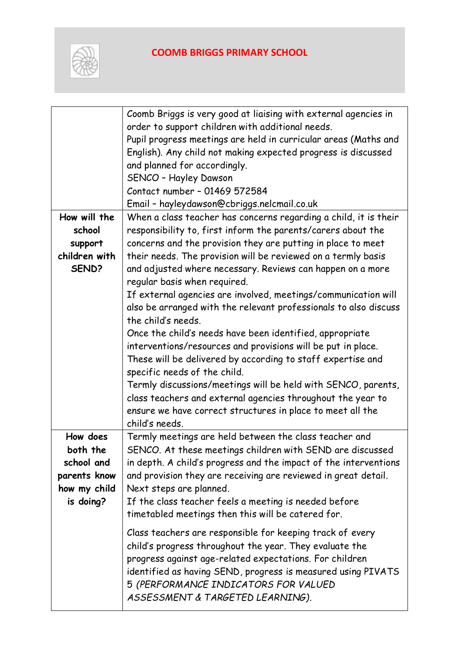

|               | Coomb Briggs is very good at liaising with external agencies in  |  |  |  |
|---------------|------------------------------------------------------------------|--|--|--|
|               | order to support children with additional needs.                 |  |  |  |
|               | Pupil progress meetings are held in curricular areas (Maths and  |  |  |  |
|               | English). Any child not making expected progress is discussed    |  |  |  |
|               | and planned for accordingly.                                     |  |  |  |
|               | SENCO - Hayley Dawson                                            |  |  |  |
|               | Contact number - 01469 572584                                    |  |  |  |
|               | Email - hayleydawson@cbriggs.nelcmail.co.uk                      |  |  |  |
| How will the  | When a class teacher has concerns regarding a child, it is their |  |  |  |
| school        | responsibility to, first inform the parents/carers about the     |  |  |  |
| support       | concerns and the provision they are putting in place to meet     |  |  |  |
| children with | their needs. The provision will be reviewed on a termly basis    |  |  |  |
| SEND?         | and adjusted where necessary. Reviews can happen on a more       |  |  |  |
|               | regular basis when required.                                     |  |  |  |
|               | If external agencies are involved, meetings/communication will   |  |  |  |
|               | also be arranged with the relevant professionals to also discuss |  |  |  |
|               | the child's needs.                                               |  |  |  |
|               | Once the child's needs have been identified, appropriate         |  |  |  |
|               | interventions/resources and provisions will be put in place.     |  |  |  |
|               | These will be delivered by according to staff expertise and      |  |  |  |
|               | specific needs of the child.                                     |  |  |  |
|               | Termly discussions/meetings will be held with SENCO, parents,    |  |  |  |
|               | class teachers and external agencies throughout the year to      |  |  |  |
|               | ensure we have correct structures in place to meet all the       |  |  |  |
|               | child's needs.                                                   |  |  |  |
| How does      | Termly meetings are held between the class teacher and           |  |  |  |
| both the      | SENCO. At these meetings children with SEND are discussed        |  |  |  |
| school and    | in depth. A child's progress and the impact of the interventions |  |  |  |
| parents know  | and provision they are receiving are reviewed in great detail.   |  |  |  |
| how my child  | Next steps are planned.                                          |  |  |  |
| is doing?     | If the class teacher feels a meeting is needed before            |  |  |  |
|               | timetabled meetings then this will be catered for.               |  |  |  |
|               | Class teachers are responsible for keeping track of every        |  |  |  |
|               | child's progress throughout the year. They evaluate the          |  |  |  |
|               | progress against age-related expectations. For children          |  |  |  |
|               | identified as having SEND, progress is measured using PIVATS     |  |  |  |
|               | 5 (PERFORMANCE INDICATORS FOR VALUED                             |  |  |  |
|               | ASSESSMENT & TARGETED LEARNING).                                 |  |  |  |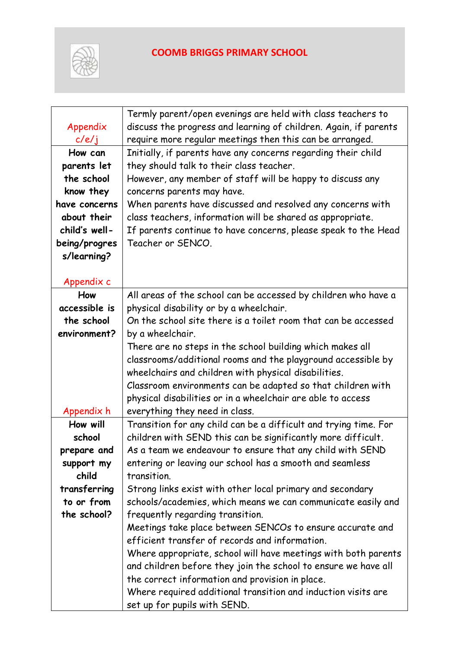

| Appendix<br>c/e/j | Termly parent/open evenings are held with class teachers to<br>discuss the progress and learning of children. Again, if parents<br>require more regular meetings then this can be arranged. |  |  |
|-------------------|---------------------------------------------------------------------------------------------------------------------------------------------------------------------------------------------|--|--|
| How can           | Initially, if parents have any concerns regarding their child                                                                                                                               |  |  |
| parents let       | they should talk to their class teacher.                                                                                                                                                    |  |  |
| the school        | However, any member of staff will be happy to discuss any                                                                                                                                   |  |  |
| know they         | concerns parents may have.                                                                                                                                                                  |  |  |
| have concerns     | When parents have discussed and resolved any concerns with                                                                                                                                  |  |  |
| about their       | class teachers, information will be shared as appropriate.                                                                                                                                  |  |  |
| child's well-     | If parents continue to have concerns, please speak to the Head                                                                                                                              |  |  |
| being/progres     | Teacher or SENCO.                                                                                                                                                                           |  |  |
| s/learning?       |                                                                                                                                                                                             |  |  |
|                   |                                                                                                                                                                                             |  |  |
| Appendix c        |                                                                                                                                                                                             |  |  |
| How               | All areas of the school can be accessed by children who have a                                                                                                                              |  |  |
| accessible is     | physical disability or by a wheelchair.                                                                                                                                                     |  |  |
| the school        | On the school site there is a toilet room that can be accessed                                                                                                                              |  |  |
| environment?      | by a wheelchair.                                                                                                                                                                            |  |  |
|                   | There are no steps in the school building which makes all                                                                                                                                   |  |  |
|                   | classrooms/additional rooms and the playground accessible by                                                                                                                                |  |  |
|                   | wheelchairs and children with physical disabilities.                                                                                                                                        |  |  |
|                   | Classroom environments can be adapted so that children with                                                                                                                                 |  |  |
|                   | physical disabilities or in a wheelchair are able to access                                                                                                                                 |  |  |
| Appendix h        | everything they need in class.                                                                                                                                                              |  |  |
| How will          | Transition for any child can be a difficult and trying time. For                                                                                                                            |  |  |
| school            | children with SEND this can be significantly more difficult.                                                                                                                                |  |  |
| prepare and       | As a team we endeavour to ensure that any child with SEND                                                                                                                                   |  |  |
| support my        | entering or leaving our school has a smooth and seamless                                                                                                                                    |  |  |
| child             | transition.                                                                                                                                                                                 |  |  |
| transferring      | Strong links exist with other local primary and secondary                                                                                                                                   |  |  |
| to or from        | schools/academies, which means we can communicate easily and                                                                                                                                |  |  |
| the school?       | frequently regarding transition.                                                                                                                                                            |  |  |
|                   | Meetings take place between SENCOs to ensure accurate and                                                                                                                                   |  |  |
|                   | efficient transfer of records and information.                                                                                                                                              |  |  |
|                   | Where appropriate, school will have meetings with both parents                                                                                                                              |  |  |
|                   | and children before they join the school to ensure we have all                                                                                                                              |  |  |
|                   | the correct information and provision in place.                                                                                                                                             |  |  |
|                   | Where required additional transition and induction visits are                                                                                                                               |  |  |
|                   | set up for pupils with SEND.                                                                                                                                                                |  |  |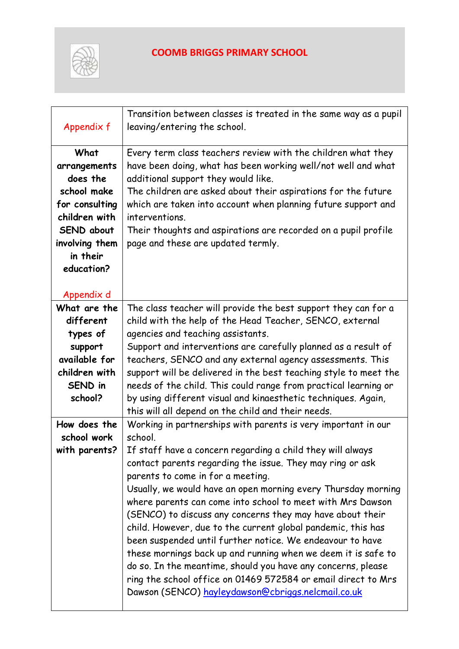

| Appendix f                                     | Transition between classes is treated in the same way as a pupil<br>leaving/entering the school.                                                                     |  |
|------------------------------------------------|----------------------------------------------------------------------------------------------------------------------------------------------------------------------|--|
| What<br>arrangements<br>does the               | Every term class teachers review with the children what they<br>have been doing, what has been working well/not well and what<br>additional support they would like. |  |
| school make<br>for consulting<br>children with | The children are asked about their aspirations for the future<br>which are taken into account when planning future support and<br>interventions.                     |  |
| SEND about<br>involving them                   | Their thoughts and aspirations are recorded on a pupil profile<br>page and these are updated termly.                                                                 |  |
| in their<br>education?                         |                                                                                                                                                                      |  |
| Appendix d                                     |                                                                                                                                                                      |  |
| What are the<br>different                      | The class teacher will provide the best support they can for a<br>child with the help of the Head Teacher, SENCO, external                                           |  |
| types of                                       | agencies and teaching assistants.                                                                                                                                    |  |
| support                                        | Support and interventions are carefully planned as a result of                                                                                                       |  |
| available for                                  | teachers, SENCO and any external agency assessments. This                                                                                                            |  |
| children with                                  | support will be delivered in the best teaching style to meet the                                                                                                     |  |
| SEND in<br>school?                             | needs of the child. This could range from practical learning or                                                                                                      |  |
|                                                | by using different visual and kinaesthetic techniques. Again,<br>this will all depend on the child and their needs.                                                  |  |
| How does the                                   | Working in partnerships with parents is very important in our                                                                                                        |  |
| school work                                    | school.                                                                                                                                                              |  |
| with parents?                                  | If staff have a concern regarding a child they will always                                                                                                           |  |
|                                                | contact parents regarding the issue. They may ring or ask                                                                                                            |  |
|                                                | parents to come in for a meeting.                                                                                                                                    |  |
|                                                | Usually, we would have an open morning every Thursday morning                                                                                                        |  |
|                                                | where parents can come into school to meet with Mrs Dawson                                                                                                           |  |
|                                                | (SENCO) to discuss any concerns they may have about their<br>child. However, due to the current global pandemic, this has                                            |  |
|                                                | been suspended until further notice. We endeavour to have                                                                                                            |  |
|                                                | these mornings back up and running when we deem it is safe to                                                                                                        |  |
|                                                | do so. In the meantime, should you have any concerns, please                                                                                                         |  |
|                                                | ring the school office on 01469 572584 or email direct to Mrs                                                                                                        |  |
|                                                | Dawson (SENCO) hayleydawson@cbriggs.nelcmail.co.uk                                                                                                                   |  |
|                                                |                                                                                                                                                                      |  |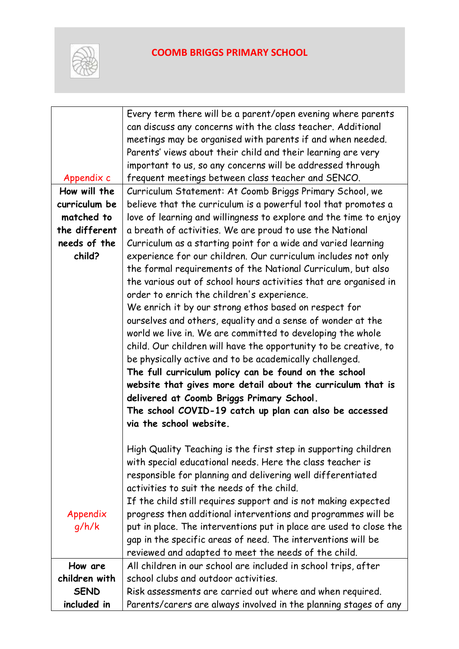

|                                                           | Every term there will be a parent/open evening where parents       |  |  |  |
|-----------------------------------------------------------|--------------------------------------------------------------------|--|--|--|
|                                                           | can discuss any concerns with the class teacher. Additional        |  |  |  |
|                                                           | meetings may be organised with parents if and when needed.         |  |  |  |
|                                                           | Parents' views about their child and their learning are very       |  |  |  |
|                                                           | important to us, so any concerns will be addressed through         |  |  |  |
| Appendix c                                                | frequent meetings between class teacher and SENCO.                 |  |  |  |
| How will the                                              | Curriculum Statement: At Coomb Briggs Primary School, we           |  |  |  |
| curriculum be                                             | believe that the curriculum is a powerful tool that promotes a     |  |  |  |
| matched to                                                | love of learning and willingness to explore and the time to enjoy  |  |  |  |
| the different                                             | a breath of activities. We are proud to use the National           |  |  |  |
| needs of the                                              | Curriculum as a starting point for a wide and varied learning      |  |  |  |
| child?                                                    | experience for our children. Our curriculum includes not only      |  |  |  |
|                                                           | the formal requirements of the National Curriculum, but also       |  |  |  |
|                                                           | the various out of school hours activities that are organised in   |  |  |  |
|                                                           | order to enrich the children's experience.                         |  |  |  |
|                                                           | We enrich it by our strong ethos based on respect for              |  |  |  |
|                                                           | ourselves and others, equality and a sense of wonder at the        |  |  |  |
|                                                           | world we live in. We are committed to developing the whole         |  |  |  |
|                                                           | child. Our children will have the opportunity to be creative, to   |  |  |  |
|                                                           | be physically active and to be academically challenged.            |  |  |  |
|                                                           | The full curriculum policy can be found on the school              |  |  |  |
|                                                           | website that gives more detail about the curriculum that is        |  |  |  |
|                                                           | delivered at Coomb Briggs Primary School.                          |  |  |  |
|                                                           | The school COVID-19 catch up plan can also be accessed             |  |  |  |
|                                                           | via the school website.                                            |  |  |  |
|                                                           |                                                                    |  |  |  |
|                                                           | High Quality Teaching is the first step in supporting children     |  |  |  |
| with special educational needs. Here the class teacher is |                                                                    |  |  |  |
|                                                           | responsible for planning and delivering well differentiated        |  |  |  |
|                                                           | activities to suit the needs of the child.                         |  |  |  |
|                                                           | If the child still requires support and is not making expected     |  |  |  |
| Appendix                                                  | progress then additional interventions and programmes will be      |  |  |  |
| q/h/k                                                     | put in place. The interventions put in place are used to close the |  |  |  |
|                                                           | gap in the specific areas of need. The interventions will be       |  |  |  |
|                                                           | reviewed and adapted to meet the needs of the child.               |  |  |  |
| How are                                                   | All children in our school are included in school trips, after     |  |  |  |
| children with                                             | school clubs and outdoor activities.                               |  |  |  |
| <b>SEND</b>                                               | Risk assessments are carried out where and when required.          |  |  |  |
| included in                                               | Parents/carers are always involved in the planning stages of any   |  |  |  |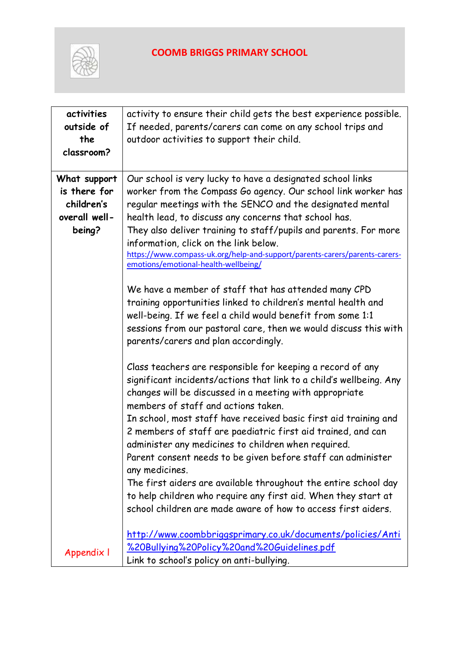

| activities<br>outside of<br>the<br>classroom?                         | activity to ensure their child gets the best experience possible.<br>If needed, parents/carers can come on any school trips and<br>outdoor activities to support their child.                                                                                                                                                                                                                                                                                                                                                                                                                                                                                                                                          |  |
|-----------------------------------------------------------------------|------------------------------------------------------------------------------------------------------------------------------------------------------------------------------------------------------------------------------------------------------------------------------------------------------------------------------------------------------------------------------------------------------------------------------------------------------------------------------------------------------------------------------------------------------------------------------------------------------------------------------------------------------------------------------------------------------------------------|--|
| What support<br>is there for<br>children's<br>overall well-<br>being? | Our school is very lucky to have a designated school links<br>worker from the Compass Go agency. Our school link worker has<br>regular meetings with the SENCO and the designated mental<br>health lead, to discuss any concerns that school has.<br>They also deliver training to staff/pupils and parents. For more<br>information, click on the link below.<br>https://www.compass-uk.org/help-and-support/parents-carers/parents-carers-<br>emotions/emotional-health-wellbeing/                                                                                                                                                                                                                                   |  |
|                                                                       | We have a member of staff that has attended many CPD<br>training opportunities linked to children's mental health and<br>well-being. If we feel a child would benefit from some 1:1<br>sessions from our pastoral care, then we would discuss this with<br>parents/carers and plan accordingly.                                                                                                                                                                                                                                                                                                                                                                                                                        |  |
|                                                                       | Class teachers are responsible for keeping a record of any<br>significant incidents/actions that link to a child's wellbeing. Any<br>changes will be discussed in a meeting with appropriate<br>members of staff and actions taken.<br>In school, most staff have received basic first aid training and<br>2 members of staff are paediatric first aid trained, and can<br>administer any medicines to children when required.<br>Parent consent needs to be given before staff can administer<br>any medicines.<br>The first aiders are available throughout the entire school day<br>to help children who require any first aid. When they start at<br>school children are made aware of how to access first aiders. |  |
| Appendix I                                                            | http://www.coombbriggsprimary.co.uk/documents/policies/Anti<br>%20Bullying%20Policy%20and%20Guidelines.pdf<br>Link to school's policy on anti-bullying.                                                                                                                                                                                                                                                                                                                                                                                                                                                                                                                                                                |  |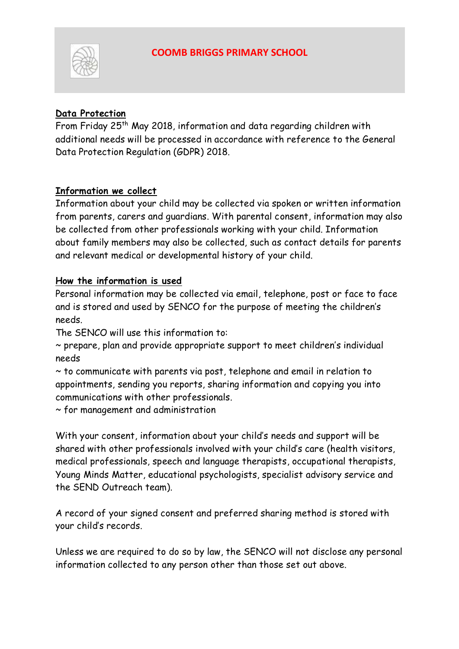

#### **Data Protection**

From Friday 25<sup>th</sup> May 2018, information and data regarding children with additional needs will be processed in accordance with reference to the General Data Protection Regulation (GDPR) 2018.

#### **Information we collect**

Information about your child may be collected via spoken or written information from parents, carers and guardians. With parental consent, information may also be collected from other professionals working with your child. Information about family members may also be collected, such as contact details for parents and relevant medical or developmental history of your child.

#### **How the information is used**

Personal information may be collected via email, telephone, post or face to face and is stored and used by SENCO for the purpose of meeting the children's needs.

The SENCO will use this information to:

~ prepare, plan and provide appropriate support to meet children's individual needs

~ to communicate with parents via post, telephone and email in relation to appointments, sending you reports, sharing information and copying you into communications with other professionals.

~ for management and administration

With your consent, information about your child's needs and support will be shared with other professionals involved with your child's care (health visitors, medical professionals, speech and language therapists, occupational therapists, Young Minds Matter, educational psychologists, specialist advisory service and the SEND Outreach team).

A record of your signed consent and preferred sharing method is stored with your child's records.

Unless we are required to do so by law, the SENCO will not disclose any personal information collected to any person other than those set out above.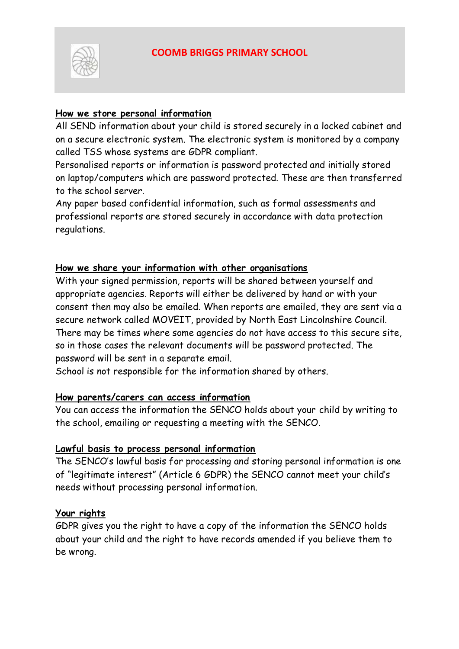

#### **How we store personal information**

All SEND information about your child is stored securely in a locked cabinet and on a secure electronic system. The electronic system is monitored by a company called TSS whose systems are GDPR compliant.

Personalised reports or information is password protected and initially stored on laptop/computers which are password protected. These are then transferred to the school server.

Any paper based confidential information, such as formal assessments and professional reports are stored securely in accordance with data protection regulations.

#### **How we share your information with other organisations**

With your signed permission, reports will be shared between yourself and appropriate agencies. Reports will either be delivered by hand or with your consent then may also be emailed. When reports are emailed, they are sent via a secure network called MOVEIT, provided by North East Lincolnshire Council. There may be times where some agencies do not have access to this secure site, so in those cases the relevant documents will be password protected. The password will be sent in a separate email.

School is not responsible for the information shared by others.

#### **How parents/carers can access information**

You can access the information the SENCO holds about your child by writing to the school, emailing or requesting a meeting with the SENCO.

#### **Lawful basis to process personal information**

The SENCO's lawful basis for processing and storing personal information is one of "legitimate interest" (Article 6 GDPR) the SENCO cannot meet your child's needs without processing personal information.

#### **Your rights**

GDPR gives you the right to have a copy of the information the SENCO holds about your child and the right to have records amended if you believe them to be wrong.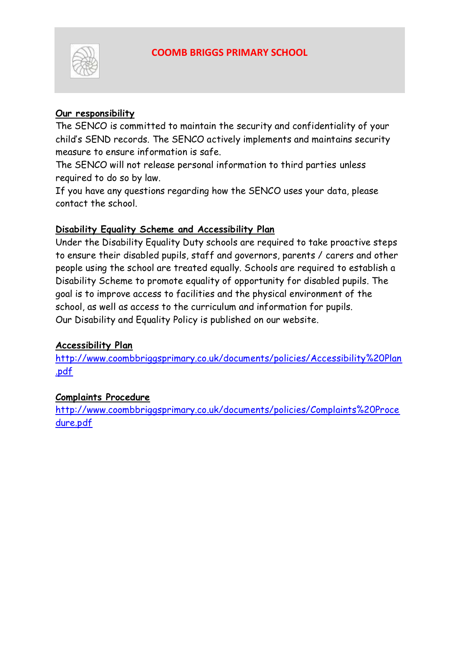

#### **Our responsibility**

The SENCO is committed to maintain the security and confidentiality of your child's SEND records. The SENCO actively implements and maintains security measure to ensure information is safe.

The SENCO will not release personal information to third parties unless required to do so by law.

If you have any questions regarding how the SENCO uses your data, please contact the school.

#### **Disability Equality Scheme and Accessibility Plan**

Under the Disability Equality Duty schools are required to take proactive steps to ensure their disabled pupils, staff and governors, parents / carers and other people using the school are treated equally. Schools are required to establish a Disability Scheme to promote equality of opportunity for disabled pupils. The goal is to improve access to facilities and the physical environment of the school, as well as access to the curriculum and information for pupils. Our Disability and Equality Policy is published on our website.

#### **Accessibility Plan**

[http://www.coombbriggsprimary.co.uk/documents/policies/Accessibility%20Plan](http://www.coombbriggsprimary.co.uk/documents/policies/Accessibility%20Plan.pdf) [.pdf](http://www.coombbriggsprimary.co.uk/documents/policies/Accessibility%20Plan.pdf)

#### **Complaints Procedure**

[http://www.coombbriggsprimary.co.uk/documents/policies/Complaints%20Proce](http://www.coombbriggsprimary.co.uk/documents/policies/Complaints%20Procedure.pdf) [dure.pdf](http://www.coombbriggsprimary.co.uk/documents/policies/Complaints%20Procedure.pdf)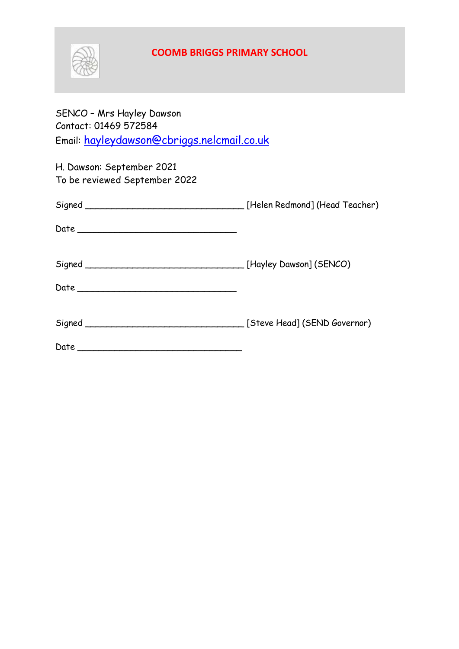

SENCO – Mrs Hayley Dawson Contact: 01469 572584 Email: [hayleydawson@cbriggs.nelcmail.co.uk](mailto:hayleydawson@cbriggs.nelcmail.co.uk)

| H. Dawson: September 2021<br>To be reviewed September 2022 |  |
|------------------------------------------------------------|--|
|                                                            |  |
|                                                            |  |
|                                                            |  |
|                                                            |  |
|                                                            |  |
|                                                            |  |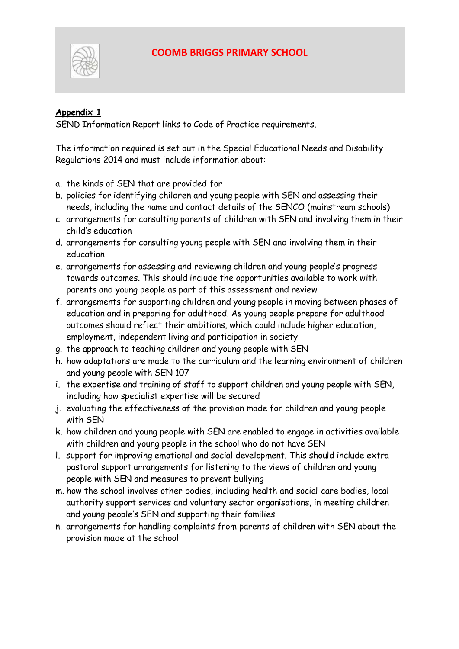

#### **Appendix 1**

SEND Information Report links to Code of Practice requirements.

The information required is set out in the Special Educational Needs and Disability Regulations 2014 and must include information about:

- a. the kinds of SEN that are provided for
- b. policies for identifying children and young people with SEN and assessing their needs, including the name and contact details of the SENCO (mainstream schools)
- c. arrangements for consulting parents of children with SEN and involving them in their child's education
- d. arrangements for consulting young people with SEN and involving them in their education
- e. arrangements for assessing and reviewing children and young people's progress towards outcomes. This should include the opportunities available to work with parents and young people as part of this assessment and review
- f. arrangements for supporting children and young people in moving between phases of education and in preparing for adulthood. As young people prepare for adulthood outcomes should reflect their ambitions, which could include higher education, employment, independent living and participation in society
- g. the approach to teaching children and young people with SEN
- h. how adaptations are made to the curriculum and the learning environment of children and young people with SEN 107
- i. the expertise and training of staff to support children and young people with SEN, including how specialist expertise will be secured
- j. evaluating the effectiveness of the provision made for children and young people with SEN
- k. how children and young people with SEN are enabled to engage in activities available with children and young people in the school who do not have SEN
- l. support for improving emotional and social development. This should include extra pastoral support arrangements for listening to the views of children and young people with SEN and measures to prevent bullying
- m. how the school involves other bodies, including health and social care bodies, local authority support services and voluntary sector organisations, in meeting children and young people's SEN and supporting their families
- n. arrangements for handling complaints from parents of children with SEN about the provision made at the school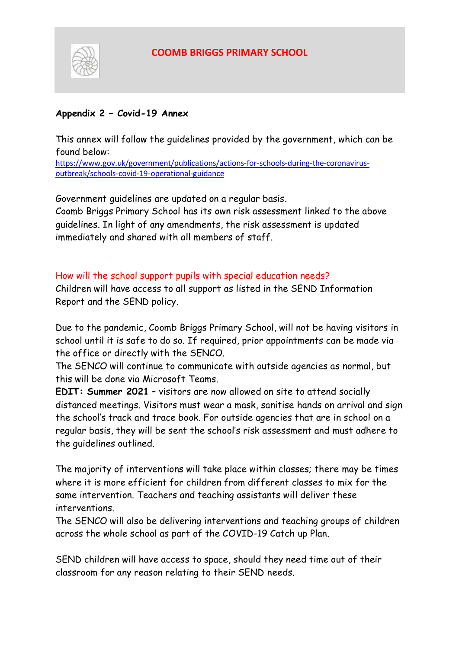

#### **Appendix 2 – Covid-19 Annex**

This annex will follow the guidelines provided by the government, which can be found below:

[https://www.gov.uk/government/publications/actions-for-schools-during-the-coronavirus](https://www.gov.uk/government/publications/actions-for-schools-during-the-coronavirus-outbreak/schools-covid-19-operational-guidance)[outbreak/schools-covid-19-operational-guidance](https://www.gov.uk/government/publications/actions-for-schools-during-the-coronavirus-outbreak/schools-covid-19-operational-guidance)

Government guidelines are updated on a regular basis.

Coomb Briggs Primary School has its own risk assessment linked to the above guidelines. In light of any amendments, the risk assessment is updated immediately and shared with all members of staff.

How will the school support pupils with special education needs?

Children will have access to all support as listed in the SEND Information Report and the SEND policy.

Due to the pandemic, Coomb Briggs Primary School, will not be having visitors in school until it is safe to do so. If required, prior appointments can be made via the office or directly with the SENCO.

The SENCO will continue to communicate with outside agencies as normal, but this will be done via Microsoft Teams.

**EDIT: Summer 2021** – visitors are now allowed on site to attend socially distanced meetings. Visitors must wear a mask, sanitise hands on arrival and sign the school's track and trace book. For outside agencies that are in school on a regular basis, they will be sent the school's risk assessment and must adhere to the guidelines outlined.

The majority of interventions will take place within classes; there may be times where it is more efficient for children from different classes to mix for the same intervention. Teachers and teaching assistants will deliver these interventions.

The SENCO will also be delivering interventions and teaching groups of children across the whole school as part of the COVID-19 Catch up Plan.

SEND children will have access to space, should they need time out of their classroom for any reason relating to their SEND needs.